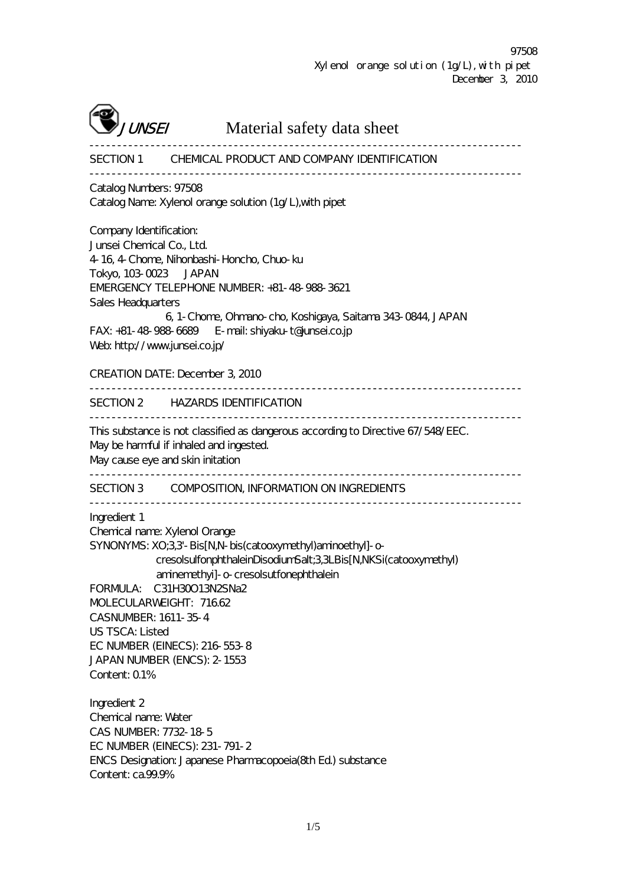

**UNSEI** Material safety data sheet

------------------------------------------------------------------------------ SECTION 1 CHEMICAL PRODUCT AND COMPANY IDENTIFICATION ------------------------------------------------------------------------------ Catalog Numbers: 97508 Catalog Name: Xylenol orange solution (1g/L),with pipet

Company Identification: Junsei Chemical Co., Ltd. 4-16, 4-Chome, Nihonbashi-Honcho, Chuo-ku Tokyo, 103-0023 JAPAN EMERGENCY TELEPHONE NUMBER: +81-48-988-3621 Sales Headquarters 6, 1-Chome, Ohmano-cho, Koshigaya, Saitama 343-0844, JAPAN FAX: +81-48-988-6689 E-mail: shiyaku-t@junsei.co.jp Web: http://www.junsei.co.jp/ CREATION DATE: December 3, 2010 ------------------------------------------------------------------------------ SECTION 2 HAZARDS IDENTIFICATION ------------------------------------------------------------------------------ This substance is not classified as dangerous according to Directive 67/548/EEC. May be harmful if inhaled and ingested. May cause eye and skin initation ------------------------------------------------------------------------------ SECTION 3 COMPOSITION, INFORMATION ON INGREDIENTS ------------------------------------------------------------------------------ Ingredient 1 Chemical name: Xylenol Orange SYNONYMS: XO;3,3'-Bis[N,N-bis(catooxymethyl)aminoethyl]-ocresolsulfonphthaleinDisodiumSalt;3,3LBis[N,NKSi(catooxymethyl) aminemethyi]-o-cresolsutfonephthalein FORMULA: C31H30O13N2SNa2 MOLECULARWEIGHT: 716.62 CASNUMBER: 1611-35-4 US TSCA: Listed EC NUMBER (EINECS): 216-553-8 JAPAN NUMBER (ENCS): 2-1553 Content: 0.1% Ingredient 2 Chemical name: Water CAS NUMBER: 7732-18-5 EC NUMBER (EINECS): 231-791-2 ENCS Designation: Japanese Pharmacopoeia(8th Ed.) substance Content: ca.99.9%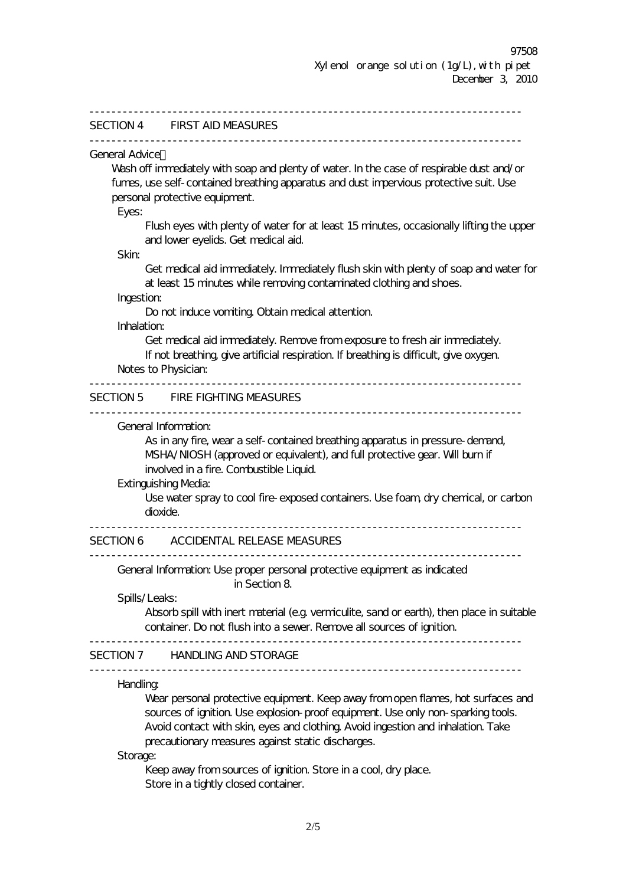December 3, 2010

|                       | SECTION 4 FIRST AID MEASURES                                                                                                   |
|-----------------------|--------------------------------------------------------------------------------------------------------------------------------|
| <b>General Advice</b> |                                                                                                                                |
|                       | Wash off immediately with soap and plenty of water. In the case of respirable dust and/or                                      |
|                       | fumes, use self-contained breathing apparatus and dust impervious protective suit. Use                                         |
|                       | personal protective equipment.                                                                                                 |
| Eyes:                 |                                                                                                                                |
| Skin:                 | Flush eyes with plenty of water for at least 15 minutes, occasionally lifting the upper<br>and lower eyelids. Get medical aid. |
|                       | Get medical aid immediately. Immediately flush skin with plenty of soap and water for                                          |
|                       | at least 15 minutes while removing contaminated clothing and shoes.                                                            |
| Ingestion:            |                                                                                                                                |
|                       | Do not induce vomiting Obtain medical attention.                                                                               |
| Inhalation:           |                                                                                                                                |
|                       | Get medical aid immediately. Remove from exposure to fresh air immediately.                                                    |
|                       | If not breathing give artificial respiration. If breathing is difficult, give oxygen.                                          |
|                       | Notes to Physician:                                                                                                            |
|                       |                                                                                                                                |
|                       | SECTION 5 FIRE FIGHTING MEASURES                                                                                               |
|                       | General Information:                                                                                                           |
|                       | As in any fire, wear a self-contained breathing apparatus in pressure-demand,                                                  |
|                       | MSHA/NIOSH (approved or equivalent), and full protective gear. Will burn if                                                    |
|                       | involved in a fire. Combustible Liquid.                                                                                        |
|                       | <b>Extinguishing Media:</b>                                                                                                    |
|                       | Use water spray to cool fire-exposed containers. Use foam, dry chemical, or carbon                                             |
|                       | dioxide.                                                                                                                       |
|                       |                                                                                                                                |
|                       | SECTION 6 ACCIDENTAL RELEASE MEASURES                                                                                          |
|                       | General Information: Use proper personal protective equipment as indicated                                                     |
|                       | in Section 8                                                                                                                   |
|                       | Spills/Leaks:                                                                                                                  |
|                       | Absorb spill with inert material (e.g. vermiculite, sand or earth), then place in suitable                                     |
|                       | container. Do not flush into a sewer. Remove all sources of ignition.                                                          |
|                       | SECTION 7 HANDLING AND STORAGE                                                                                                 |
| <b>Handling</b>       |                                                                                                                                |
|                       | Wear personal protective equipment. Keep away from open flames, hot surfaces and                                               |
|                       | sources of ignition. Use explosion-proof equipment. Use only non-sparking tools.                                               |
|                       | Avoid contact with skin, eyes and clothing. Avoid ingestion and inhalation. Take                                               |
|                       | precautionary measures against static discharges.                                                                              |
| Storage:              |                                                                                                                                |
|                       | Keep away from sources of ignition. Store in a cool, dry place.                                                                |
|                       | Store in a tightly closed container.                                                                                           |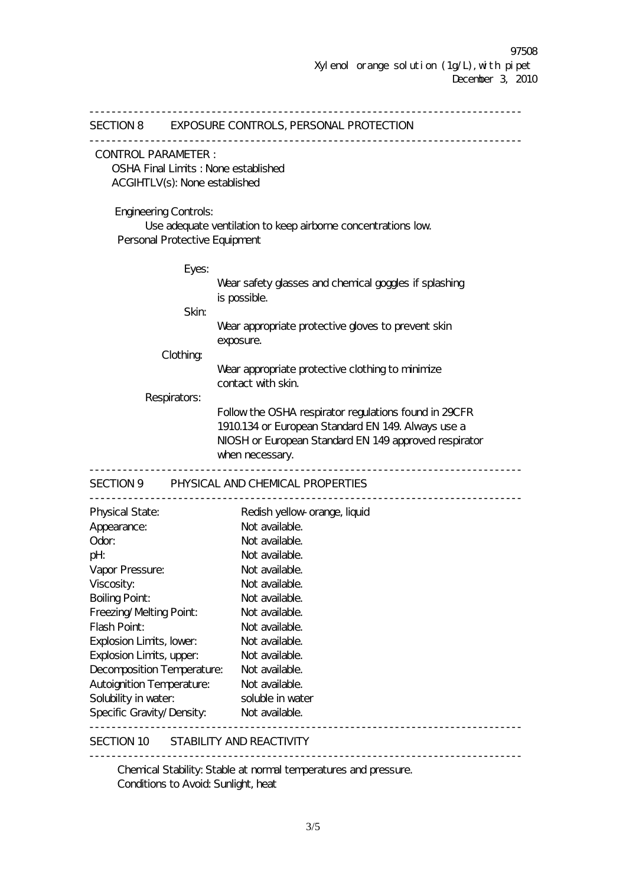------------------------------------------------------------------------------ SECTION 8 EXPOSURE CONTROLS, PERSONAL PROTECTION ------------------------------------------------------------------------------ CONTROL PARAMETER : OSHA Final Limits : None established ACGIHTLV(s): None established Engineering Controls: Use adequate ventilation to keep airborne concentrations low. Personal Protective Equipment Eyes: Wear safety glasses and chemical goggles if splashing is possible. Skin: Wear appropriate protective gloves to prevent skin exposure. Clothing: Wear appropriate protective clothing to minimize contact with skin. Respirators: Follow the OSHA respirator regulations found in 29CFR 1910.134 or European Standard EN 149. Always use a NIOSH or European Standard EN 149 approved respirator when necessary. ------------------------------------------------------------------------------ SECTION 9 PHYSICAL AND CHEMICAL PROPERTIES ------------------------------------------------------------------------------ Physical State: Redish yellow-orange, liquid Appearance: Not available. Odor: Not available. pH: **Not available.** Vapor Pressure: Not available. Viscosity: Not available. Boiling Point: Not available. Freezing/Melting Point: Not available. Flash Point: Not available.<br>Explosion Limits, lower: Not available.<br>Explosion Limits Explosion Limits, lower: Explosion Limits, upper: Not available. Decomposition Temperature: Not available. Autoignition Temperature: Not available. Solubility in water: soluble in water Specific Gravity/Density: Not available. ------------------------------------------------------------------------------ SECTION 10 STABILITY AND REACTIVITY ------------------------------------------------------------------------------ Chemical Stability: Stable at normal temperatures and pressure. Conditions to Avoid: Sunlight, heat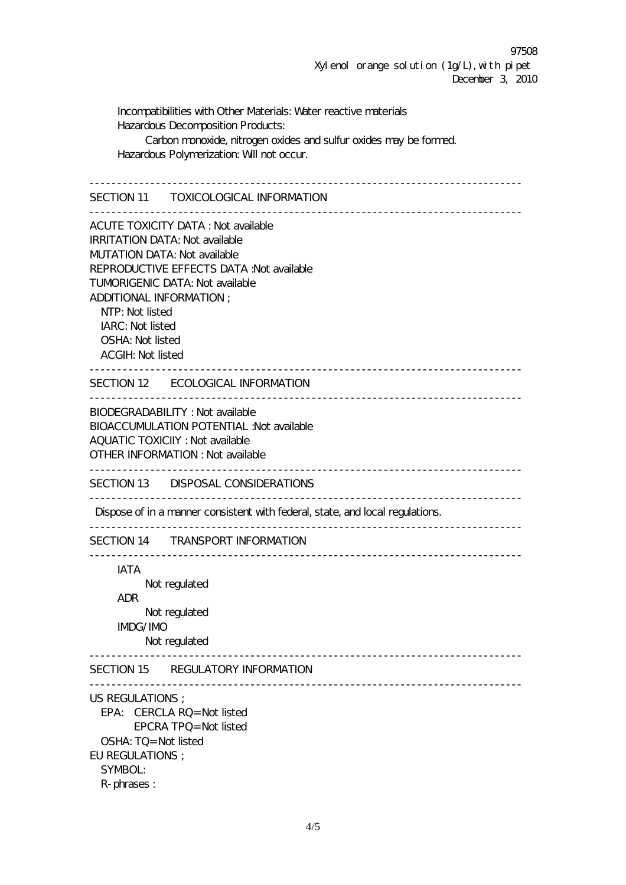97508 Xylenol orange solution  $(1g/L)$ , with pipet December 3, 2010

Incompatibilities with Other Materials: Water reactive materials Hazardous Decomposition Products: Carbon monoxide, nitrogen oxides and sulfur oxides may be formed. Hazardous Polymerization: Will not occur. ------------------------------------------------------------------------------ SECTION 11 TOXICOLOGICAL INFORMATION ------------------------------------------------------------------------------ ACUTE TOXICITY DATA : Not available IRRITATION DATA: Not available MUTATION DATA: Not available REPRODUCTIVE EFFECTS DATA :Not available TUMORIGENIC DATA: Not available ADDITIONAL INFORMATION ; NTP: Not listed IARC: Not listed OSHA: Not listed ACGIH: Not listed ------------------------------------------------------------------------------ SECTION 12 ECOLOGICAL INFORMATION ------------------------------------------------------------------------------ BIODEGRADABILITY : Not available BIOACCUMULATION POTENTIAL :Not available AQUATIC TOXICIIY : Not available OTHER INFORMATION : Not available ------------------------------------------------------------------------------ SECTION 13 DISPOSAL CONSIDERATIONS ------------------------------------------------------------------------------ Dispose of in a manner consistent with federal, state, and local regulations. ------------------------------------------------------------------------------ SECTION 14 TRANSPORT INFORMATION ------------------------------------------------------------------------------ IATA Not regulated ADR Not regulated IMDG/IMO Not regulated ------------------------------------------------------------------------------ SECTION 15 REGULATORY INFORMATION ------------------------------------------------------------------------------ US REGULATIONS ; EPA: CERCLA RQ= Not listed EPCRA TPQ= Not listed OSHA: TQ= Not listed EU REGULATIONS ; SYMBOL: R-phrases :